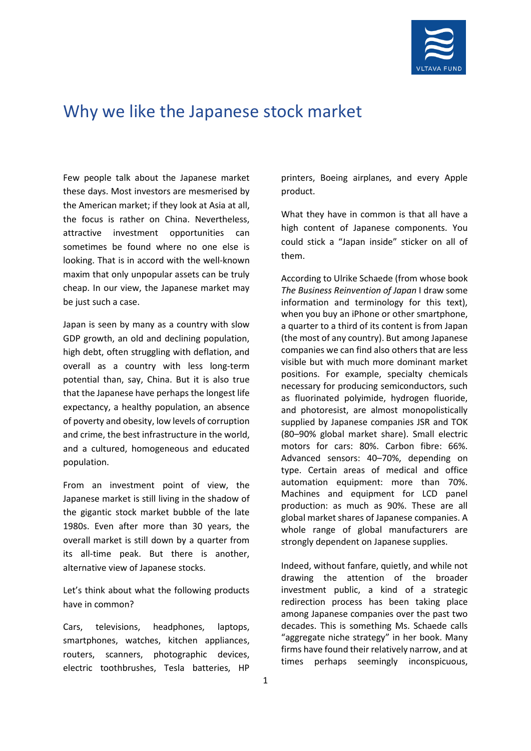

## Why we like the Japanese stock market

Few people talk about the Japanese market these days. Most investors are mesmerised by the American market; if they look at Asia at all, the focus is rather on China. Nevertheless, attractive investment opportunities can sometimes be found where no one else is looking. That is in accord with the well-known maxim that only unpopular assets can be truly cheap. In our view, the Japanese market may be just such a case.

Japan is seen by many as a country with slow GDP growth, an old and declining population, high debt, often struggling with deflation, and overall as a country with less long-term potential than, say, China. But it is also true that the Japanese have perhaps the longest life expectancy, a healthy population, an absence of poverty and obesity, low levels of corruption and crime, the best infrastructure in the world, and a cultured, homogeneous and educated population.

From an investment point of view, the Japanese market is still living in the shadow of the gigantic stock market bubble of the late 1980s. Even after more than 30 years, the overall market is still down by a quarter from its all-time peak. But there is another, alternative view of Japanese stocks.

Let's think about what the following products have in common?

Cars, televisions, headphones, laptops, smartphones, watches, kitchen appliances, routers, scanners, photographic devices, electric toothbrushes, Tesla batteries, HP

printers, Boeing airplanes, and every Apple product.

What they have in common is that all have a high content of Japanese components. You could stick a "Japan inside" sticker on all of them.

According to Ulrike Schaede (from whose book *The Business Reinvention of Japan* I draw some information and terminology for this text), when you buy an iPhone or other smartphone, a quarter to a third of its content is from Japan (the most of any country). But among Japanese companies we can find also others that are less visible but with much more dominant market positions. For example, specialty chemicals necessary for producing semiconductors, such as fluorinated polyimide, hydrogen fluoride, and photoresist, are almost monopolistically supplied by Japanese companies JSR and TOK (80–90% global market share). Small electric motors for cars: 80%. Carbon fibre: 66%. Advanced sensors: 40–70%, depending on type. Certain areas of medical and office automation equipment: more than 70%. Machines and equipment for LCD panel production: as much as 90%. These are all global market shares of Japanese companies. A whole range of global manufacturers are strongly dependent on Japanese supplies.

Indeed, without fanfare, quietly, and while not drawing the attention of the broader investment public, a kind of a strategic redirection process has been taking place among Japanese companies over the past two decades. This is something Ms. Schaede calls "aggregate niche strategy" in her book. Many firms have found their relatively narrow, and at times perhaps seemingly inconspicuous,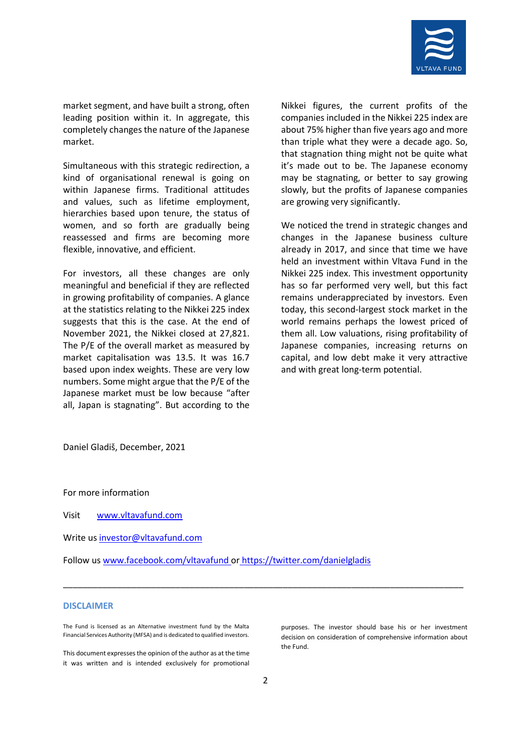

market segment, and have built a strong, often leading position within it. In aggregate, this completely changes the nature of the Japanese market.

Simultaneous with this strategic redirection, a kind of organisational renewal is going on within Japanese firms. Traditional attitudes and values, such as lifetime employment, hierarchies based upon tenure, the status of women, and so forth are gradually being reassessed and firms are becoming more flexible, innovative, and efficient.

For investors, all these changes are only meaningful and beneficial if they are reflected in growing profitability of companies. A glance at the statistics relating to the Nikkei 225 index suggests that this is the case. At the end of November 2021, the Nikkei closed at 27,821. The P/E of the overall market as measured by market capitalisation was 13.5. It was 16.7 based upon index weights. These are very low numbers. Some might argue that the P/E of the Japanese market must be low because "after all, Japan is stagnating". But according to the

Nikkei figures, the current profits of the companies included in the Nikkei 225 index are about 75% higher than five years ago and more than triple what they were a decade ago. So, that stagnation thing might not be quite what it's made out to be. The Japanese economy may be stagnating, or better to say growing slowly, but the profits of Japanese companies are growing very significantly.

We noticed the trend in strategic changes and changes in the Japanese business culture already in 2017, and since that time we have held an investment within Vltava Fund in the Nikkei 225 index. This investment opportunity has so far performed very well, but this fact remains underappreciated by investors. Even today, this second-largest stock market in the world remains perhaps the lowest priced of them all. Low valuations, rising profitability of Japanese companies, increasing returns on capital, and low debt make it very attractive and with great long-term potential.

Daniel Gladiš, December, 2021

For more information

Visit [www.vltavafund.com](http://www.vltavafund.com/)

Write us [investor@vltavafund.com](mailto:investor@vltavafund.com)

Follow us [www.facebook.com/vltavafund](http://www.facebook.com/vltavafund) or <https://twitter.com/danielgladis>

## **DISCLAIMER**

The Fund is licensed as an Alternative investment fund by the Malta Financial Services Authority (MFSA) and is dedicated to qualified investors.

This document expresses the opinion of the author as at the time it was written and is intended exclusively for promotional purposes. The investor should base his or her investment decision on consideration of comprehensive information about the Fund.

\_\_\_\_\_\_\_\_\_\_\_\_\_\_\_\_\_\_\_\_\_\_\_\_\_\_\_\_\_\_\_\_\_\_\_\_\_\_\_\_\_\_\_\_\_\_\_\_\_\_\_\_\_\_\_\_\_\_\_\_\_\_\_\_\_\_\_\_\_\_\_\_\_\_\_\_\_\_\_\_\_\_